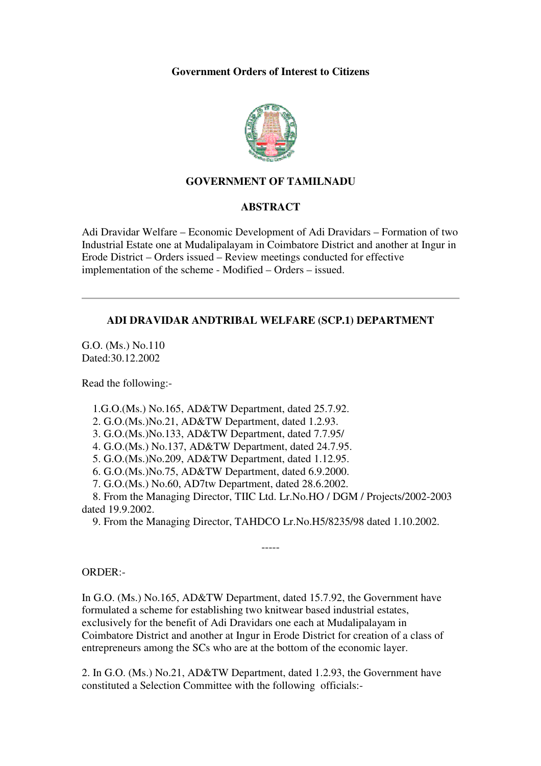### **Government Orders of Interest to Citizens**



# **GOVERNMENT OF TAMILNADU**

#### **ABSTRACT**

Adi Dravidar Welfare – Economic Development of Adi Dravidars – Formation of two Industrial Estate one at Mudalipalayam in Coimbatore District and another at Ingur in Erode District – Orders issued – Review meetings conducted for effective implementation of the scheme - Modified – Orders – issued.

# **ADI DRAVIDAR ANDTRIBAL WELFARE (SCP.1) DEPARTMENT**

G.O. (Ms.) No.110 Dated:30.12.2002

Read the following:-

1.G.O.(Ms.) No.165, AD&TW Department, dated 25.7.92.

2. G.O.(Ms.)No.21, AD&TW Department, dated 1.2.93.

3. G.O.(Ms.)No.133, AD&TW Department, dated 7.7.95/

4. G.O.(Ms.) No.137, AD&TW Department, dated 24.7.95.

5. G.O.(Ms.)No.209, AD&TW Department, dated 1.12.95.

6. G.O.(Ms.)No.75, AD&TW Department, dated 6.9.2000.

7. G.O.(Ms.) No.60, AD7tw Department, dated 28.6.2002.

 8. From the Managing Director, TIIC Ltd. Lr.No.HO / DGM / Projects/2002-2003 dated 19.9.2002.

9. From the Managing Director, TAHDCO Lr.No.H5/8235/98 dated 1.10.2002.

-----

#### ORDER:-

In G.O. (Ms.) No.165, AD&TW Department, dated 15.7.92, the Government have formulated a scheme for establishing two knitwear based industrial estates, exclusively for the benefit of Adi Dravidars one each at Mudalipalayam in Coimbatore District and another at Ingur in Erode District for creation of a class of entrepreneurs among the SCs who are at the bottom of the economic layer.

2. In G.O. (Ms.) No.21, AD&TW Department, dated 1.2.93, the Government have constituted a Selection Committee with the following officials:-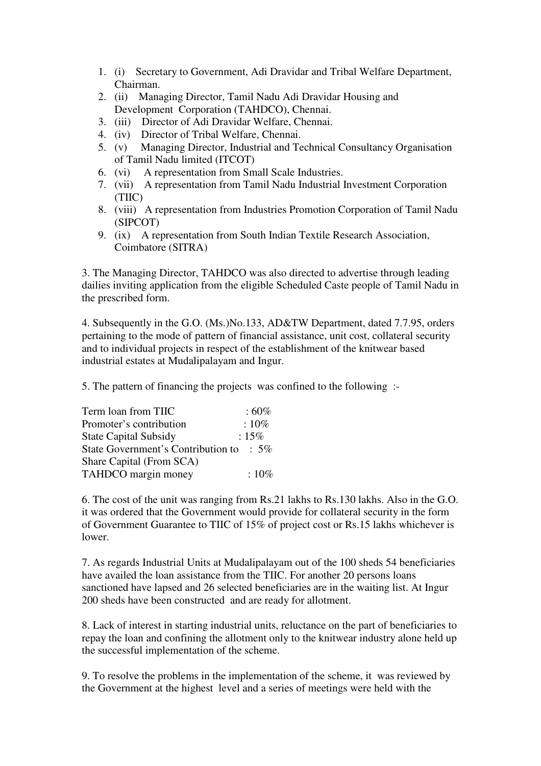- 1. (i) Secretary to Government, Adi Dravidar and Tribal Welfare Department, Chairman.
- 2. (ii) Managing Director, Tamil Nadu Adi Dravidar Housing and Development Corporation (TAHDCO), Chennai.
- 3. (iii) Director of Adi Dravidar Welfare, Chennai.
- 4. (iv) Director of Tribal Welfare, Chennai.
- 5. (v) Managing Director, Industrial and Technical Consultancy Organisation of Tamil Nadu limited (ITCOT)
- 6. (vi) A representation from Small Scale Industries.
- 7. (vii) A representation from Tamil Nadu Industrial Investment Corporation (TIIC)
- 8. (viii) A representation from Industries Promotion Corporation of Tamil Nadu (SIPCOT)
- 9. (ix) A representation from South Indian Textile Research Association, Coimbatore (SITRA)

3. The Managing Director, TAHDCO was also directed to advertise through leading dailies inviting application from the eligible Scheduled Caste people of Tamil Nadu in the prescribed form.

4. Subsequently in the G.O. (Ms.)No.133, AD&TW Department, dated 7.7.95, orders pertaining to the mode of pattern of financial assistance, unit cost, collateral security and to individual projects in respect of the establishment of the knitwear based industrial estates at Mudalipalayam and Ingur.

5. The pattern of financing the projects was confined to the following :-

| Term loan from TIIC                | $:60\%$         |
|------------------------------------|-----------------|
| Promoter's contribution            | $:10\%$         |
| <b>State Capital Subsidy</b>       | $:15\%$         |
| State Government's Contribution to | $\therefore$ 5% |
| Share Capital (From SCA)           |                 |
| TAHDCO margin money                | $:10\%$         |

6. The cost of the unit was ranging from Rs.21 lakhs to Rs.130 lakhs. Also in the G.O. it was ordered that the Government would provide for collateral security in the form of Government Guarantee to TIIC of 15% of project cost or Rs.15 lakhs whichever is lower.

7. As regards Industrial Units at Mudalipalayam out of the 100 sheds 54 beneficiaries have availed the loan assistance from the TIIC. For another 20 persons loans sanctioned have lapsed and 26 selected beneficiaries are in the waiting list. At Ingur 200 sheds have been constructed and are ready for allotment.

8. Lack of interest in starting industrial units, reluctance on the part of beneficiaries to repay the loan and confining the allotment only to the knitwear industry alone held up the successful implementation of the scheme.

9. To resolve the problems in the implementation of the scheme, it was reviewed by the Government at the highest level and a series of meetings were held with the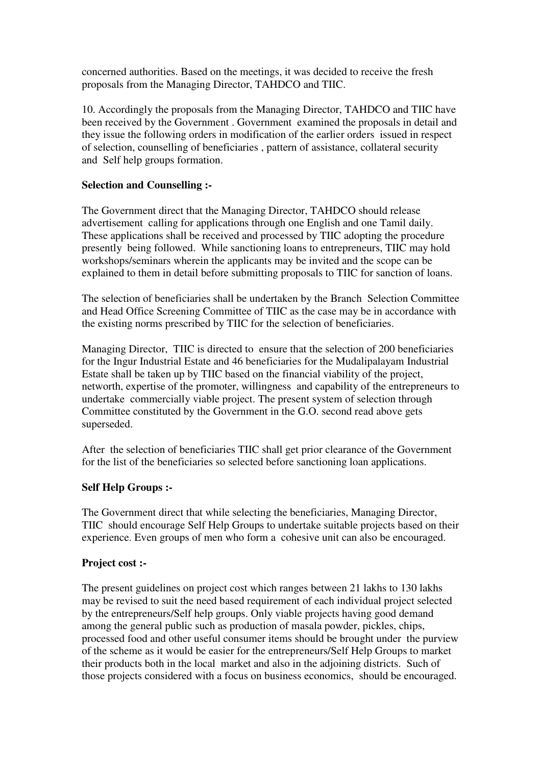concerned authorities. Based on the meetings, it was decided to receive the fresh proposals from the Managing Director, TAHDCO and TIIC.

10. Accordingly the proposals from the Managing Director, TAHDCO and TIIC have been received by the Government . Government examined the proposals in detail and they issue the following orders in modification of the earlier orders issued in respect of selection, counselling of beneficiaries , pattern of assistance, collateral security and Self help groups formation.

### **Selection and Counselling :-**

The Government direct that the Managing Director, TAHDCO should release advertisement calling for applications through one English and one Tamil daily. These applications shall be received and processed by TIIC adopting the procedure presently being followed. While sanctioning loans to entrepreneurs, TIIC may hold workshops/seminars wherein the applicants may be invited and the scope can be explained to them in detail before submitting proposals to TIIC for sanction of loans.

The selection of beneficiaries shall be undertaken by the Branch Selection Committee and Head Office Screening Committee of TIIC as the case may be in accordance with the existing norms prescribed by TIIC for the selection of beneficiaries.

Managing Director, TIIC is directed to ensure that the selection of 200 beneficiaries for the Ingur Industrial Estate and 46 beneficiaries for the Mudalipalayam Industrial Estate shall be taken up by TIIC based on the financial viability of the project, networth, expertise of the promoter, willingness and capability of the entrepreneurs to undertake commercially viable project. The present system of selection through Committee constituted by the Government in the G.O. second read above gets superseded.

After the selection of beneficiaries TIIC shall get prior clearance of the Government for the list of the beneficiaries so selected before sanctioning loan applications.

#### **Self Help Groups :-**

The Government direct that while selecting the beneficiaries, Managing Director, TIIC should encourage Self Help Groups to undertake suitable projects based on their experience. Even groups of men who form a cohesive unit can also be encouraged.

#### **Project cost :-**

The present guidelines on project cost which ranges between 21 lakhs to 130 lakhs may be revised to suit the need based requirement of each individual project selected by the entrepreneurs/Self help groups. Only viable projects having good demand among the general public such as production of masala powder, pickles, chips, processed food and other useful consumer items should be brought under the purview of the scheme as it would be easier for the entrepreneurs/Self Help Groups to market their products both in the local market and also in the adjoining districts. Such of those projects considered with a focus on business economics, should be encouraged.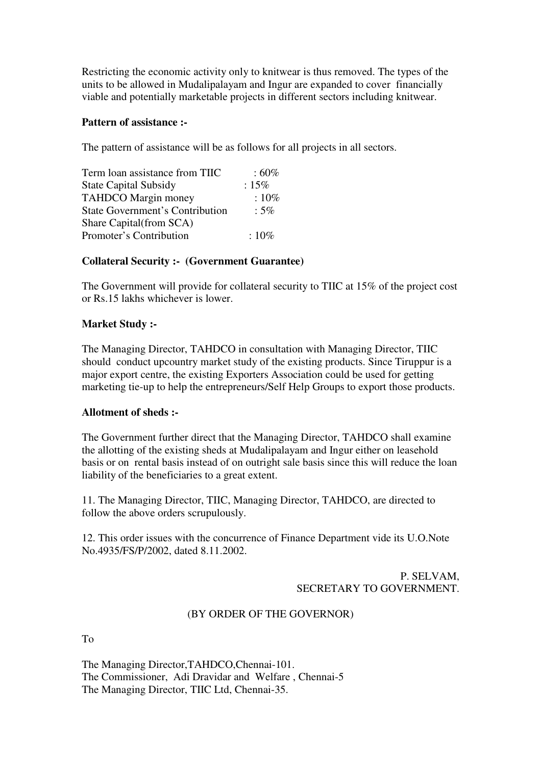Restricting the economic activity only to knitwear is thus removed. The types of the units to be allowed in Mudalipalayam and Ingur are expanded to cover financially viable and potentially marketable projects in different sectors including knitwear.

### **Pattern of assistance :-**

The pattern of assistance will be as follows for all projects in all sectors.

| Term loan assistance from TIIC         | $:60\%$ |
|----------------------------------------|---------|
| <b>State Capital Subsidy</b>           | :15%    |
| <b>TAHDCO</b> Margin money             | $:10\%$ |
| <b>State Government's Contribution</b> | $:5\%$  |
| Share Capital (from SCA)               |         |
| Promoter's Contribution                | $:10\%$ |

### **Collateral Security :- (Government Guarantee)**

The Government will provide for collateral security to TIIC at 15% of the project cost or Rs.15 lakhs whichever is lower.

#### **Market Study :-**

The Managing Director, TAHDCO in consultation with Managing Director, TIIC should conduct upcountry market study of the existing products. Since Tiruppur is a major export centre, the existing Exporters Association could be used for getting marketing tie-up to help the entrepreneurs/Self Help Groups to export those products.

#### **Allotment of sheds :-**

The Government further direct that the Managing Director, TAHDCO shall examine the allotting of the existing sheds at Mudalipalayam and Ingur either on leasehold basis or on rental basis instead of on outright sale basis since this will reduce the loan liability of the beneficiaries to a great extent.

11. The Managing Director, TIIC, Managing Director, TAHDCO, are directed to follow the above orders scrupulously.

12. This order issues with the concurrence of Finance Department vide its U.O.Note No.4935/FS/P/2002, dated 8.11.2002.

> P. SELVAM, SECRETARY TO GOVERNMENT.

# (BY ORDER OF THE GOVERNOR)

To

The Managing Director,TAHDCO,Chennai-101. The Commissioner, Adi Dravidar and Welfare , Chennai-5 The Managing Director, TIIC Ltd, Chennai-35.